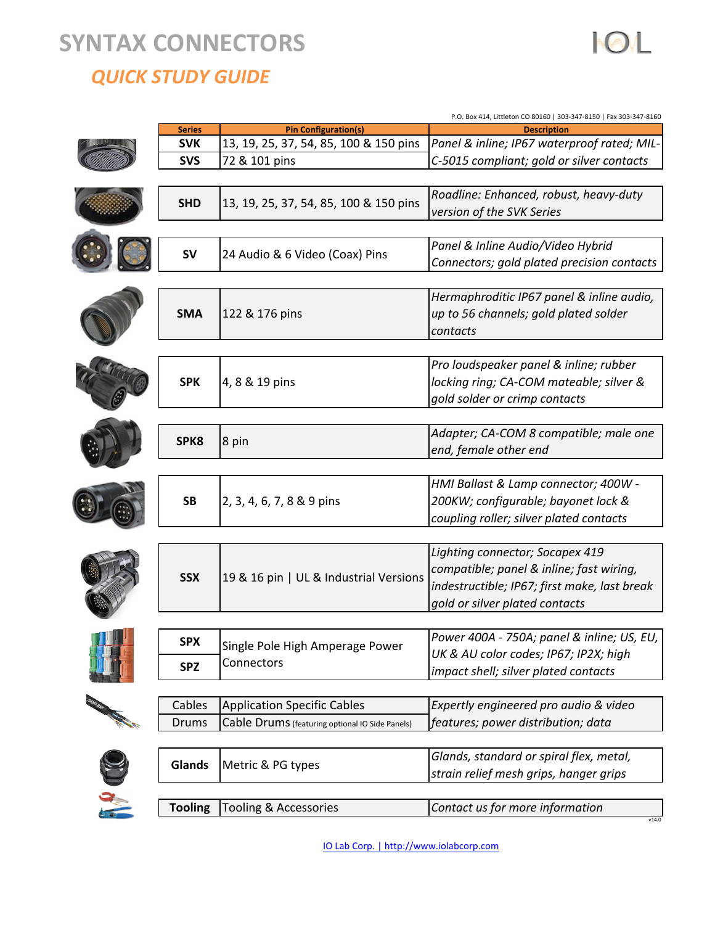# **!!SYNTAX!CONNECTORS**

*!!!!! !!!QUICK!STUDY!GUIDE*

|                      | P.O. Box 414, Littleton CO 80160   303-347-8150   Fax 303-347-8160 |                                                 |                                              |  |  |  |
|----------------------|--------------------------------------------------------------------|-------------------------------------------------|----------------------------------------------|--|--|--|
|                      | <b>Series</b>                                                      | <b>Pin Configuration(s)</b>                     | <b>Description</b>                           |  |  |  |
|                      | <b>SVK</b>                                                         | 13, 19, 25, 37, 54, 85, 100 & 150 pins          | Panel & inline; IP67 waterproof rated; MIL-  |  |  |  |
|                      | <b>SVS</b>                                                         | 72 & 101 pins                                   | C-5015 compliant; gold or silver contacts    |  |  |  |
|                      |                                                                    |                                                 |                                              |  |  |  |
|                      | <b>SHD</b>                                                         |                                                 | Roadline: Enhanced, robust, heavy-duty       |  |  |  |
|                      |                                                                    | 13, 19, 25, 37, 54, 85, 100 & 150 pins          | version of the SVK Series                    |  |  |  |
|                      |                                                                    |                                                 |                                              |  |  |  |
|                      |                                                                    |                                                 |                                              |  |  |  |
|                      | <b>SV</b>                                                          | 24 Audio & 6 Video (Coax) Pins                  | Panel & Inline Audio/Video Hybrid            |  |  |  |
|                      |                                                                    |                                                 | Connectors; gold plated precision contacts   |  |  |  |
|                      |                                                                    |                                                 |                                              |  |  |  |
|                      |                                                                    |                                                 | Hermaphroditic IP67 panel & inline audio,    |  |  |  |
|                      | <b>SMA</b>                                                         | 122 & 176 pins                                  | up to 56 channels; gold plated solder        |  |  |  |
|                      |                                                                    |                                                 | contacts                                     |  |  |  |
|                      |                                                                    |                                                 |                                              |  |  |  |
|                      |                                                                    |                                                 | Pro loudspeaker panel & inline; rubber       |  |  |  |
|                      | <b>SPK</b>                                                         | 4, 8 & 19 pins                                  | locking ring; CA-COM mateable; silver &      |  |  |  |
|                      |                                                                    |                                                 | gold solder or crimp contacts                |  |  |  |
|                      |                                                                    |                                                 |                                              |  |  |  |
|                      |                                                                    |                                                 |                                              |  |  |  |
|                      | SPK8                                                               | 8 pin                                           | Adapter; CA-COM 8 compatible; male one       |  |  |  |
|                      |                                                                    |                                                 | end, female other end                        |  |  |  |
|                      |                                                                    |                                                 |                                              |  |  |  |
|                      | <b>SB</b>                                                          |                                                 | HMI Ballast & Lamp connector; 400W -         |  |  |  |
|                      |                                                                    | 2, 3, 4, 6, 7, 8 & 9 pins                       | 200KW; configurable; bayonet lock &          |  |  |  |
|                      |                                                                    |                                                 | coupling roller; silver plated contacts      |  |  |  |
|                      |                                                                    |                                                 |                                              |  |  |  |
|                      |                                                                    |                                                 | Lighting connector; Socapex 419              |  |  |  |
|                      | <b>SSX</b>                                                         |                                                 | compatible; panel & inline; fast wiring,     |  |  |  |
|                      |                                                                    | 19 & 16 pin   UL & Industrial Versions          | indestructible; IP67; first make, last break |  |  |  |
|                      |                                                                    |                                                 | gold or silver plated contacts               |  |  |  |
|                      |                                                                    |                                                 |                                              |  |  |  |
|                      |                                                                    |                                                 |                                              |  |  |  |
|                      | <b>SPX</b>                                                         | Single Pole High Amperage Power                 | Power 400A - 750A; panel & inline; US, EU,   |  |  |  |
|                      | <b>SPZ</b>                                                         | Connectors                                      | UK & AU color codes; IP67; IP2X; high        |  |  |  |
|                      |                                                                    |                                                 | impact shell; silver plated contacts         |  |  |  |
|                      |                                                                    |                                                 |                                              |  |  |  |
| <b>REAL PROPERTY</b> | Cables                                                             | <b>Application Specific Cables</b>              | Expertly engineered pro audio & video        |  |  |  |
|                      | <b>Drums</b>                                                       | Cable Drums (featuring optional IO Side Panels) | features; power distribution; data           |  |  |  |
|                      |                                                                    |                                                 |                                              |  |  |  |
|                      | Glands                                                             | Metric & PG types                               | Glands, standard or spiral flex, metal,      |  |  |  |
|                      |                                                                    |                                                 | strain relief mesh grips, hanger grips       |  |  |  |
|                      |                                                                    |                                                 |                                              |  |  |  |
|                      | <b>Tooling</b>                                                     | Tooling & Accessories                           | Contact us for more information              |  |  |  |
|                      |                                                                    |                                                 | v14.0                                        |  |  |  |

**IOL**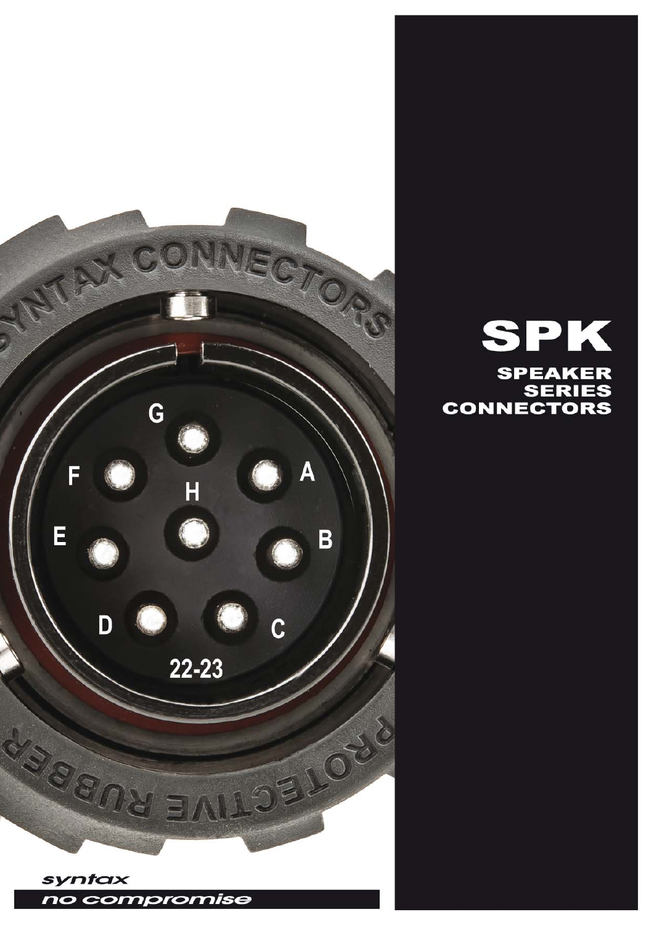

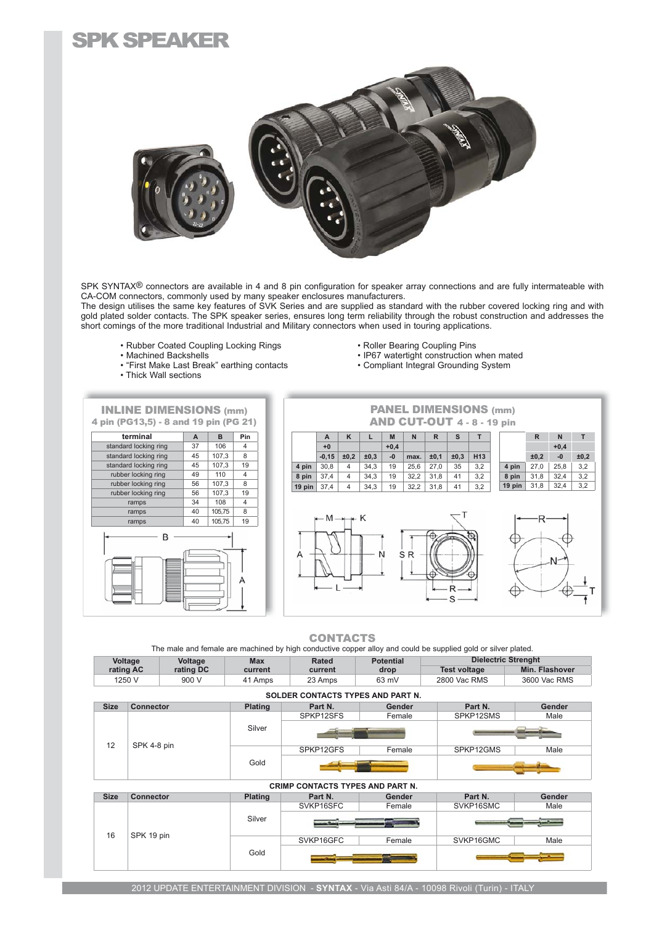### SPK SPEAKER



SPK SYNTAX<sup>®</sup> connectors are available in 4 and 8 pin configuration for speaker array connections and are fully intermateable with CA-COM connectors, commonly used by many speaker enclosures manufacturers.

The design utilises the same key features of SVK Series and are supplied as standard with the rubber covered locking ring and with gold plated solder contacts. The SPK speaker series, ensures long term reliability through the robust construction and addresses the short comings of the more traditional Industrial and Military connectors when used in touring applications.

- Rubber Coated Coupling Locking Rings Roller Bearing Coupling Pins<br>• Machined Backshells P67 watertight construction
- 
- Wachling Buchensen<br>• "First Make Last Break" earthing contacts
- Thick Wall sections
	-
- 
- Nation Backing Seeping Inc.<br>• IP67 watertight construction when mated<br>• Compliant Integral Grounding System
- 



CONTACTS

The male and female are machined by high conductive copper alloy and could be supplied gold or silver plated.

| Voltage   | Voltage   | Max     | Rated   | <b>Potential</b> | <b>Dielectric Strenght</b> |                |
|-----------|-----------|---------|---------|------------------|----------------------------|----------------|
| rating AC | rating DC | current | current | drop             | <b>Test voltage</b>        | Min. Flashover |
| 250 V     | 900 V     | Amps    | 23 Amps | 63 mV            | 2800 Vac RMS               | 3600 Vac RMS   |

| <b>SOLDER CONTACTS TYPES AND PART N.</b> |                  |                |           |        |           |        |
|------------------------------------------|------------------|----------------|-----------|--------|-----------|--------|
| <b>Size</b>                              | <b>Connector</b> | <b>Plating</b> | Part N.   | Gender | Part N.   | Gender |
|                                          |                  | Silver         | SPKP12SFS | Female | SPKP12SMS | Male   |
|                                          |                  |                |           |        |           |        |
| 12                                       | SPK 4-8 pin      |                | SPKP12GFS | Female | SPKP12GMS | Male   |
|                                          |                  | Gold           |           |        |           |        |
| <b>CRIMP CONTACTS TYPES AND PART N.</b>  |                  |                |           |        |           |        |

| <b>Size</b> | <b>Connector</b> | <b>Plating</b> | Part N.   | Gender | Part N.   | Gender |
|-------------|------------------|----------------|-----------|--------|-----------|--------|
| 16          |                  | Silver         | SVKP16SFC | Female | SVKP16SMC | Male   |
|             |                  |                |           |        |           |        |
|             | SPK 19 pin       | Gold           | SVKP16GFC | Female | SVKP16GMC | Male   |
|             |                  |                |           |        |           |        |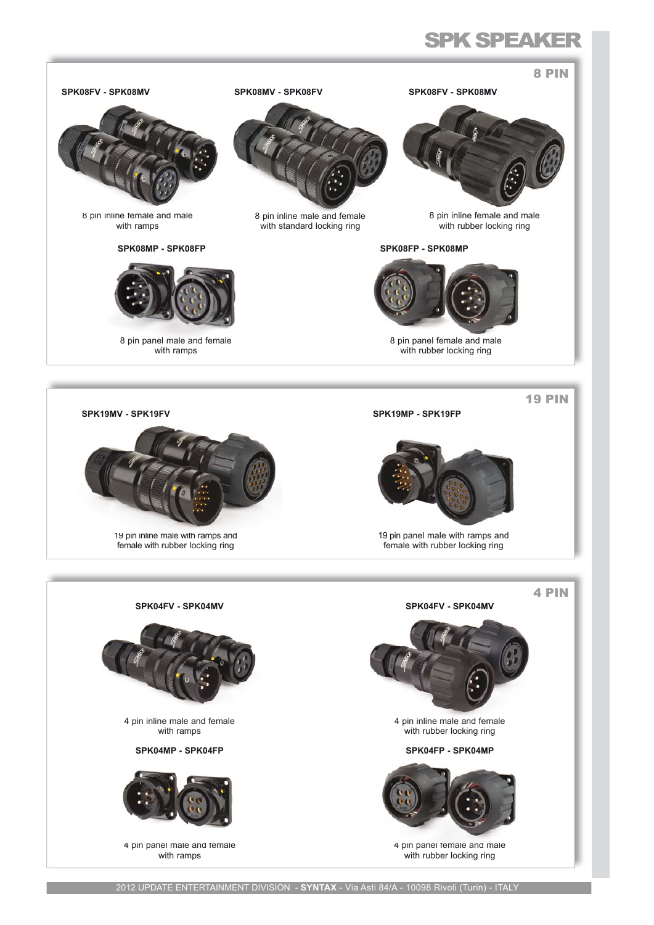# **SPK SPEAKER**

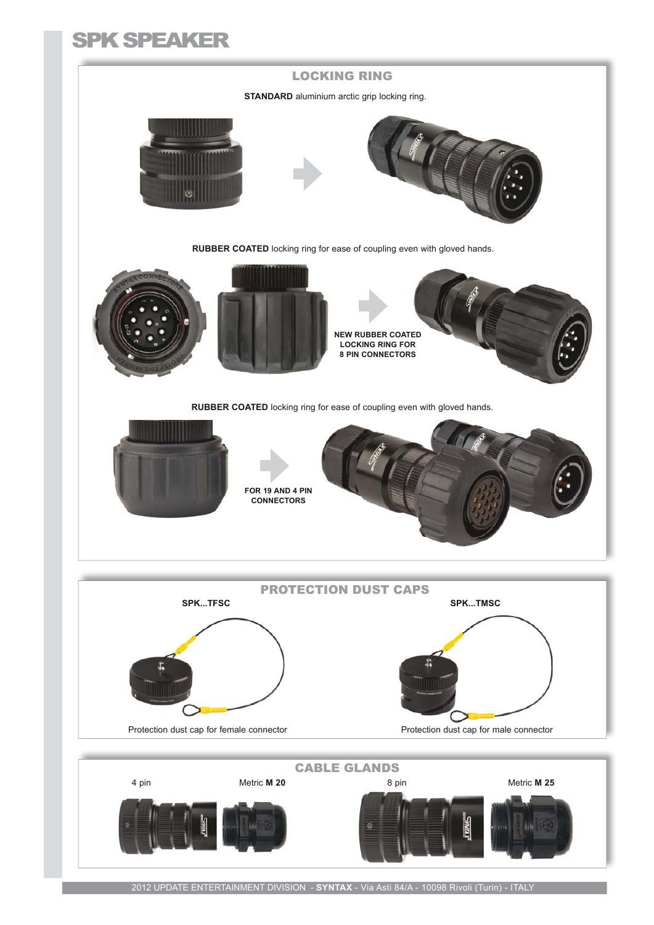# SPK SPEAKER



2012 UPDATE ENTERTAINMENT DIVISION - **SYNTAX** - Via Asti 84/A - 10098 Rivoli (Turin) - ITALY